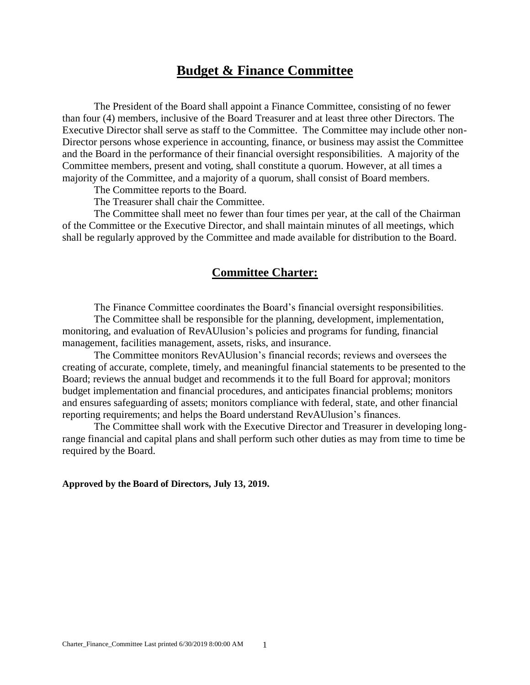## **Budget & Finance Committee**

The President of the Board shall appoint a Finance Committee, consisting of no fewer than four (4) members, inclusive of the Board Treasurer and at least three other Directors. The Executive Director shall serve as staff to the Committee. The Committee may include other non-Director persons whose experience in accounting, finance, or business may assist the Committee and the Board in the performance of their financial oversight responsibilities. A majority of the Committee members, present and voting, shall constitute a quorum. However, at all times a majority of the Committee, and a majority of a quorum, shall consist of Board members.

The Committee reports to the Board.

The Treasurer shall chair the Committee.

The Committee shall meet no fewer than four times per year, at the call of the Chairman of the Committee or the Executive Director, and shall maintain minutes of all meetings, which shall be regularly approved by the Committee and made available for distribution to the Board.

## **Committee Charter:**

The Finance Committee coordinates the Board's financial oversight responsibilities.

The Committee shall be responsible for the planning, development, implementation, monitoring, and evaluation of RevAUlusion's policies and programs for funding, financial management, facilities management, assets, risks, and insurance.

The Committee monitors RevAUlusion's financial records; reviews and oversees the creating of accurate, complete, timely, and meaningful financial statements to be presented to the Board; reviews the annual budget and recommends it to the full Board for approval; monitors budget implementation and financial procedures, and anticipates financial problems; monitors and ensures safeguarding of assets; monitors compliance with federal, state, and other financial reporting requirements; and helps the Board understand RevAUlusion's finances.

The Committee shall work with the Executive Director and Treasurer in developing longrange financial and capital plans and shall perform such other duties as may from time to time be required by the Board.

**Approved by the Board of Directors, July 13, 2019.**